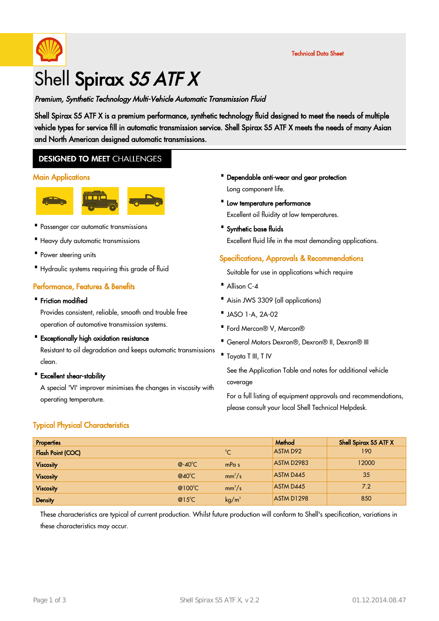

# Shell Spirax S5 ATF X

## Premium, Synthetic Technology Multi-Vehicle Automatic Transmission Fluid

Shell Spirax S5 ATF X is a premium performance, synthetic technology fluid designed to meet the needs of multiple vehicle types for service fill in automatic transmission service. Shell Spirax S5 ATF X meets the needs of many Asian and North American designed automatic transmissions.

# **DESIGNED TO MEET CHALLENGES**

#### **Main Applications**



- · Passenger car automatic transmissions
- · Heavy duty automatic transmissions
- · Power steering units
- · Hydraulic systems requiring this grade of fluid

## Performance, Features & Benefits

· Friction modified

Provides consistent, reliable, smooth and trouble free operation of automotive transmission systems.

- · Exceptionally high oxidation resistance Resistant to oil degradation and keeps automatic transmissions clean.
- · Excellent shear-stability

A special 'VI' improver minimises the changes in viscosity with operating temperature.

## Typical Physical Characteristics

- · Dependable anti-wear and gear protection Long component life.
- · Low temperature performance Excellent oil fluidity at low temperatures.
- · Synthetic base fluids Excellent fluid life in the most demanding applications.

## Specifications, Approvals & Recommendations

Suitable for use in applications which require

- Allison C-4
- · Aisin JWS 3309 (all applications)
- · JASO 1-A, 2A-02
- · Ford Mercon® V, Mercon®
- · General Motors Dexron®, Dexron® II, Dexron® III
- · Toyota T III, T IV

See the Application Table and notes for additional vehicle coverage

For a full listing of equipment approvals and recommendations, please consult your local Shell Technical Helpdesk.

| <b>Properties</b>        |                   |                   | Method          | Shell Spirax S5 ATF X |
|--------------------------|-------------------|-------------------|-----------------|-----------------------|
| <b>Flash Point (COC)</b> |                   | $^{\circ}C$       | <b>ASTM D92</b> | 190                   |
| <b>Viscosity</b>         | $@-40^{\circ}C$   | mPa <sub>s</sub>  | ASTM D2983      | 12000                 |
| <b>Viscosity</b>         | $@40^{\circ}$ C   | $mm^2/s$          | ASTM D445       | 35                    |
| <b>Viscosity</b>         | @ $100^{\circ}$ C | $mm^2/s$          | ASTM D445       | 7.2                   |
| <b>Density</b>           | $@15^{\circ}$ C   | kg/m <sup>3</sup> | ASTM D1298      | 850                   |

These characteristics are typical of current production. Whilst future production will conform to Shell's specification, variations in these characteristics may occur.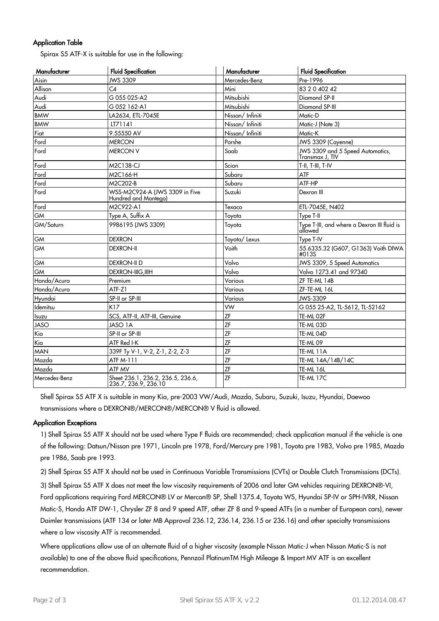## Application Table

Spirax S5 ATF-X is suitable for use in the following:

| Manufacturer  | <b>Fluid Specification</b>                             | Manufacturer    | <b>Fluid Specification</b>                             |
|---------------|--------------------------------------------------------|-----------------|--------------------------------------------------------|
| Aisin         | JWS 3309                                               | Mercedes-Benz   | Pre-1996                                               |
| Allison       | C <sub>4</sub>                                         | Mini            | 83 2 0 402 42                                          |
| Audi          | G 055 025-A2                                           | Mitsubishi      | Diamond SP-II                                          |
| Audi          | G 052 162-A1                                           | Mitsubishi      | Diamond SP-III                                         |
| <b>BMW</b>    | LA2634, ETL-7045E                                      | Nissan/Infiniti | Matic-D                                                |
| <b>BMW</b>    | LT71141                                                | Nissan/Infiniti | Matic-J (Note 3)                                       |
| Fiat          | 9.55550 AV                                             | Nissan/Infiniti | Matic-K                                                |
| Ford          | <b>MERCON</b>                                          | Porshe          | JWS 3309 (Cayenne)                                     |
| Ford          | <b>MERCON V</b>                                        | Saab            | JWS 3309 and 5 Speed Automatics,<br>Transmax J, TIV    |
| Ford          | M2C138-CJ                                              | Scion           | T-II, T-III, T-IV                                      |
| Ford          | M2C166-H                                               | Subaru          | ATF                                                    |
| Ford          | M2C202-B                                               | Subaru          | ATF-HP                                                 |
| Ford          | WSS-M2C924-A (JWS 3309 in Five<br>Hundred and Montego) | Suzuki          | Dexron III                                             |
| Ford          | M2C922-A1                                              | Texaco          | ETL-7045E, N402                                        |
| <b>GM</b>     | Type A, Suffix A                                       | Toyota          | Type T-II                                              |
| GM/Saturn     | 9986195 (JWS 3309)                                     | Toyota          | Type T-III, and where a Dexron III fluid is<br>allowed |
| <b>GM</b>     | <b>DEXRON</b>                                          | Toyota/Lexus    | Type T-IV                                              |
| <b>GM</b>     | <b>DEXRON-II</b>                                       | Voith           | 55.6335.32 (G607, G1363) Voith DIWA<br>#013S           |
| GM            | <b>DEXRON-II D</b>                                     | Volvo           | JWS 3309, 5 Speed Automatics                           |
| <b>GM</b>     | <b>DEXRON-IIIG, IIIH</b>                               | Volvo           | Volvo 1273.41 and 97340                                |
| Honda/Acura   | Premium                                                | Various         | ZF TE-ML 14B                                           |
| Honda/Acura   | ATF-Z1                                                 | Various         | ZF-TE-ML 16L                                           |
| Hyundai       | SP-II or SP-III                                        | Various         | JWS-3309                                               |
| Idemitsu      | K17                                                    | <b>VW</b>       | G 055 25-A2, TL-5612, TL-52162                         |
| Isuzu         | SCS, ATF-II, ATF-III, Genuine                          | ZF              | TE-ML 02F                                              |
| <b>JASO</b>   | <b>JASO 1A</b>                                         | ZF              | TE-ML 03D                                              |
| Kia           | SP-II or SP-III                                        | ZF              | TE-ML 04D                                              |
| Kia           | ATF Red I-K                                            | ZF              | TE-ML09                                                |
| <b>MAN</b>    | 339F Ty V-1, V-2, Z-1, Z-2, Z-3                        | ZF              | TE-ML 11A                                              |
| Mazda         | ATF M-111                                              | ZF              | TE-ML 14A/14B/14C                                      |
| Mazda         | ATF MV                                                 | ZF              | TE-ML 16L                                              |
| Mercedes-Benz | Sheet 236.1, 236.2, 236.5, 236.6, 236.7, 236.9, 236.10 | ZF              | TE-ML 17C                                              |

Shell Spirax S5 ATF X is suitable in many Kia, pre-2003 VW/Audi, Mazda, Subaru, Suzuki, Isuzu, Hyundai, Daewoo transmissions where a DEXRON®/MERCON®/MERCON® V fluid is allowed.

#### Application Exceptions

1) Shell Spirax S5 ATF X should not be used where Type F fluids are recommended; check application manual if the vehicle is one of the following: Datsun/Nissan pre 1971, Lincoln pre 1978, Ford/Mercury pre 1981, Toyota pre 1983, Volvo pre 1985, Mazda pre 1986, Saab pre 1993.

2) Shell Spirax S5 ATF X should not be used in Continuous Variable Transmissions (CVTs) or Double Clutch Transmissions (DCTs).

3) Shell Spirax S5 ATF X does not meet the low viscosity requirements of 2006 and later GM vehicles requiring DEXRON®-VI, Ford applications requiring Ford MERCON® LV or Mercon® SP, Shell 1375.4, Toyota WS, Hyundai SP-IV or SPH-IVRR, Nissan Matic-S, Honda ATF DW-1, Chrysler ZF 8 and 9 speed ATF, other ZF 8 and 9-speed ATFs (in a number of European cars), newer Daimler transmissions (ATF 134 or later MB Approval 236.12, 236.14, 236.15 or 236.16) and other specialty transmissions where a low viscosity ATF is recommended.

Where applications allow use of an alternate fluid of a higher viscosity (example Nissan Matic-J when Nissan Matic-S is not available) to one of the above fluid specifications, Pennzoil PlatinumTM High Mileage & Import MV ATF is an excellent recommendation.